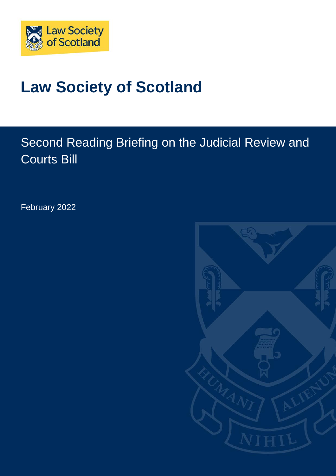

# **Law Society of Scotland**

# Second Reading Briefing on the Judicial Review and Courts Bill

February 2022

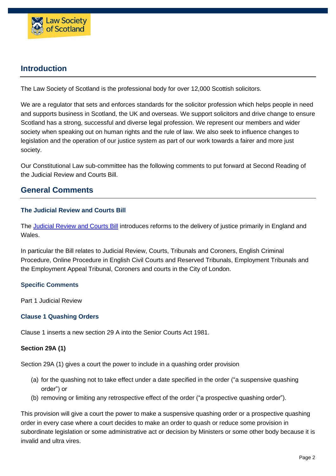

# **Introduction**

The Law Society of Scotland is the professional body for over 12,000 Scottish solicitors.

We are a regulator that sets and enforces standards for the solicitor profession which helps people in need and supports business in Scotland, the UK and overseas. We support solicitors and drive change to ensure Scotland has a strong, successful and diverse legal profession. We represent our members and wider society when speaking out on human rights and the rule of law. We also seek to influence changes to legislation and the operation of our justice system as part of our work towards a fairer and more just society.

Our Constitutional Law sub-committee has the following comments to put forward at Second Reading of the Judicial Review and Courts Bill.

# **General Comments**

#### **The Judicial Review and Courts Bill**

The [Judicial](https://bills.parliament.uk/publications/44924/documents/1316) Review and Courts Bill introduces reforms to the delivery of justice primarily in England and Wales.

In particular the Bill relates to Judicial Review, Courts, Tribunals and Coroners, English Criminal Procedure, Online Procedure in English Civil Courts and Reserved Tribunals, Employment Tribunals and the Employment Appeal Tribunal, Coroners and courts in the City of London.

#### **Specific Comments**

Part 1 Judicial Review

#### **Clause 1 Quashing Orders**

Clause 1 inserts a new section 29 A into the Senior Courts Act 1981.

#### **Section 29A (1)**

Section 29A (1) gives a court the power to include in a quashing order provision

- (a) for the quashing not to take effect under a date specified in the order ("a suspensive quashing order") or
- (b) removing or limiting any retrospective effect of the order ("a prospective quashing order").

This provision will give a court the power to make a suspensive quashing order or a prospective quashing order in every case where a court decides to make an order to quash or reduce some provision in subordinate legislation or some administrative act or decision by Ministers or some other body because it is invalid and ultra vires.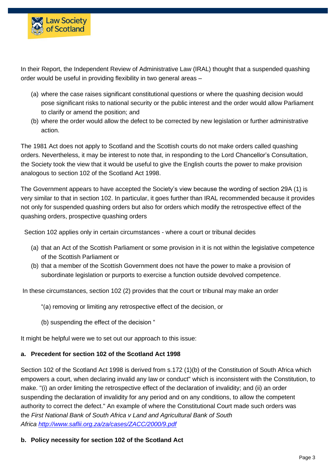

In their Report, the Independent Review of Administrative Law (IRAL) thought that a suspended quashing order would be useful in providing flexibility in two general areas –

- (a) where the case raises significant constitutional questions or where the quashing decision would pose significant risks to national security or the public interest and the order would allow Parliament to clarify or amend the position; and
- (b) where the order would allow the defect to be corrected by new legislation or further administrative action.

The 1981 Act does not apply to Scotland and the Scottish courts do not make orders called quashing orders. Nevertheless, it may be interest to note that, in responding to the Lord Chancellor's Consultation, the Society took the view that it would be useful to give the English courts the power to make provision analogous to section 102 of the Scotland Act 1998.

The Government appears to have accepted the Society's view because the wording of section 29A (1) is very similar to that in section 102. In particular, it goes further than IRAL recommended because it provides not only for suspended quashing orders but also for orders which modify the retrospective effect of the quashing orders, prospective quashing orders

Section 102 applies only in certain circumstances - where a court or tribunal decides

- (a) that an Act of the Scottish Parliament or some provision in it is not within the legislative competence of the Scottish Parliament or
- (b) that a member of the Scottish Government does not have the power to make a provision of subordinate legislation or purports to exercise a function outside devolved competence.

In these circumstances, section 102 (2) provides that the court or tribunal may make an order

- "(a) removing or limiting any retrospective effect of the decision, or
- (b) suspending the effect of the decision "

It might be helpful were we to set out our approach to this issue:

#### **a. Precedent for section 102 of the Scotland Act 1998**

Section 102 of the Scotland Act 1998 is derived from s.172 (1)(b) of the Constitution of South Africa which empowers a court, when declaring invalid any law or conduct" which is inconsistent with the Constitution, to make. "(i) an order limiting the retrospective effect of the declaration of invalidity; and (ii) an order suspending the declaration of invalidity for any period and on any conditions, to allow the competent authority to correct the defect." An example of where the Constitutional Court made such orders was the *First National Bank of South Africa v Land and Agricultural Bank of South Africa <http://www.saflii.org.za/za/cases/ZACC/2000/9.pdf>*

#### **b. Policy necessity for section 102 of the Scotland Act**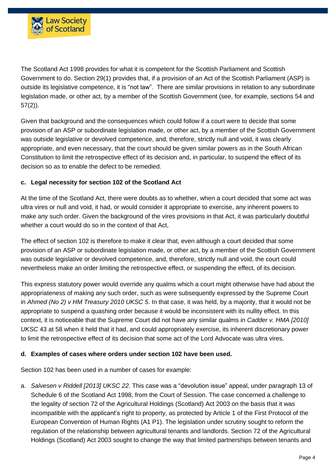

The Scotland Act 1998 provides for what it is competent for the Scottish Parliament and Scottish Government to do. Section 29(1) provides that, if a provision of an Act of the Scottish Parliament (ASP) is outside its legislative competence, it is "not law". There are similar provisions in relation to any subordinate legislation made, or other act, by a member of the Scottish Government (see, for example, sections 54 and 57(2)).

Given that background and the consequences which could follow if a court were to decide that some provision of an ASP or subordinate legislation made, or other act, by a member of the Scottish Government was outside legislative or devolved competence, and, therefore, strictly null and void, it was clearly appropriate, and even necessary, that the court should be given similar powers as in the South African Constitution to limit the retrospective effect of its decision and, in particular, to suspend the effect of its decision so as to enable the defect to be remedied.

#### **c. Legal necessity for section 102 of the Scotland Act**

At the time of the Scotland Act, there were doubts as to whether, when a court decided that some act was ultra vires or null and void, it had, or would consider it appropriate to exercise, any inherent powers to make any such order. Given the background of the vires provisions in that Act, it was particularly doubtful whether a court would do so in the context of that Act,

The effect of section 102 is therefore to make it clear that, even although a court decided that some provision of an ASP or subordinate legislation made, or other act, by a member of the Scottish Government was outside legislative or devolved competence, and, therefore, strictly null and void, the court could nevertheless make an order limiting the retrospective effect, or suspending the effect, of its decision.

This express statutory power would override any qualms which a court might otherwise have had about the appropriateness of making any such order, such as were subsequently expressed by the Supreme Court in *Ahmed (No 2) v HM Treasury 2010 UKSC 5*. In that case, it was held, by a majority, that it would not be appropriate to suspend a quashing order because it would be inconsistent with its nullity effect. In this context, it is noticeable that the Supreme Court did not have any similar qualms in *Cadder v. HMA [2010] UKSC* 43 at 58 when it held that it had, and could appropriately exercise, its inherent discretionary power to limit the retrospective effect of its decision that some act of the Lord Advocate was ultra vires.

#### **d. Examples of cases where orders under section 102 have been used.**

Section 102 has been used in a number of cases for example:

a. *Salvesen v Riddell [2013] UKSC 22.* This case was a "devolution issue" appeal, under paragraph 13 of Schedule 6 of the Scotland Act 1998, from the Court of Session. The case concerned a challenge to the legality of section 72 of the Agricultural Holdings (Scotland) Act 2003 on the basis that it was incompatible with the applicant's right to property, as protected by Article 1 of the First Protocol of the European Convention of Human Rights (A1 P1). The legislation under scrutiny sought to reform the regulation of the relationship between agricultural tenants and landlords. Section 72 of the Agricultural Holdings (Scotland) Act 2003 sought to change the way that limited partnerships between tenants and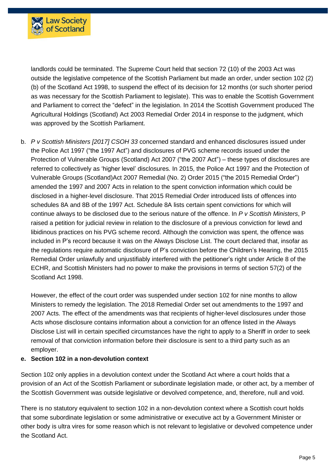

landlords could be terminated. The Supreme Court held that section 72 (10) of the 2003 Act was outside the legislative competence of the Scottish Parliament but made an order, under section 102 (2) (b) of the Scotland Act 1998, to suspend the effect of its decision for 12 months (or such shorter period as was necessary for the Scottish Parliament to legislate). This was to enable the Scottish Government and Parliament to correct the "defect" in the legislation. In 2014 the Scottish Government produced The Agricultural Holdings (Scotland) Act 2003 Remedial Order 2014 in response to the judgment, which was approved by the Scottish Parliament.

b. *P v Scottish Ministers [2017] CSOH 33* concerned standard and enhanced disclosures issued under the Police Act 1997 ("the 1997 Act") and disclosures of PVG scheme records issued under the Protection of Vulnerable Groups (Scotland) Act 2007 ("the 2007 Act") – these types of disclosures are referred to collectively as 'higher level' disclosures. In 2015, the Police Act 1997 and the Protection of Vulnerable Groups (Scotland)Act 2007 Remedial (No. 2) Order 2015 ("the 2015 Remedial Order") amended the 1997 and 2007 Acts in relation to the spent conviction information which could be disclosed in a higher-level disclosure. That 2015 Remedial Order introduced lists of offences into schedules 8A and 8B of the 1997 Act. Schedule 8A lists certain spent convictions for which will continue always to be disclosed due to the serious nature of the offence. In *P v Scottish Ministers*, P raised a petition for judicial review in relation to the disclosure of a previous conviction for lewd and libidinous practices on his PVG scheme record. Although the conviction was spent, the offence was included in P's record because it was on the Always Disclose List. The court declared that, insofar as the regulations require automatic disclosure of P's conviction before the Children's Hearing, the 2015 Remedial Order unlawfully and unjustifiably interfered with the petitioner's right under Article 8 of the ECHR, and Scottish Ministers had no power to make the provisions in terms of section 57(2) of the Scotland Act 1998.

However, the effect of the court order was suspended under section 102 for nine months to allow Ministers to remedy the legislation. The 2018 Remedial Order set out amendments to the 1997 and 2007 Acts. The effect of the amendments was that recipients of higher-level disclosures under those Acts whose disclosure contains information about a conviction for an offence listed in the Always Disclose List will in certain specified circumstances have the right to apply to a Sheriff in order to seek removal of that conviction information before their disclosure is sent to a third party such as an employer.

#### **e. Section 102 in a non-devolution context**

Section 102 only applies in a devolution context under the Scotland Act where a court holds that a provision of an Act of the Scottish Parliament or subordinate legislation made, or other act, by a member of the Scottish Government was outside legislative or devolved competence, and, therefore, null and void.

There is no statutory equivalent to section 102 in a non-devolution context where a Scottish court holds that some subordinate legislation or some administrative or executive act by a Government Minister or other body is ultra vires for some reason which is not relevant to legislative or devolved competence under the Scotland Act.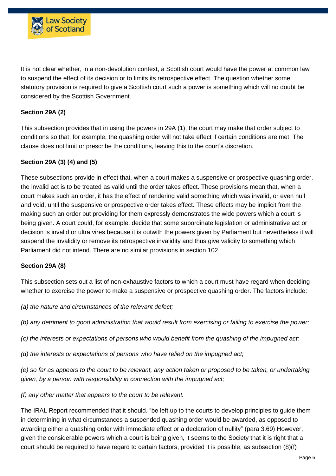

It is not clear whether, in a non-devolution context, a Scottish court would have the power at common law to suspend the effect of its decision or to limits its retrospective effect. The question whether some statutory provision is required to give a Scottish court such a power is something which will no doubt be considered by the Scottish Government.

# **Section 29A (2)**

This subsection provides that in using the powers in 29A (1), the court may make that order subject to conditions so that, for example, the quashing order will not take effect if certain conditions are met. The clause does not limit or prescribe the conditions, leaving this to the court's discretion.

# **Section 29A (3) (4) and (5)**

These subsections provide in effect that, when a court makes a suspensive or prospective quashing order, the invalid act is to be treated as valid until the order takes effect. These provisions mean that, when a court makes such an order, it has the effect of rendering valid something which was invalid, or even null and void, until the suspensive or prospective order takes effect. These effects may be implicit from the making such an order but providing for them expressly demonstrates the wide powers which a court is being given. A court could, for example, decide that some subordinate legislation or administrative act or decision is invalid or ultra vires because it is outwith the powers given by Parliament but nevertheless it will suspend the invalidity or remove its retrospective invalidity and thus give validity to something which Parliament did not intend. There are no similar provisions in section 102.

#### **Section 29A (8)**

This subsection sets out a list of non-exhaustive factors to which a court must have regard when deciding whether to exercise the power to make a suspensive or prospective quashing order. The factors include:

*(a) the nature and circumstances of the relevant defect;*

(b) any detriment to good administration that would result from exercising or failing to exercise the power;

*(c) the interests or expectations of persons who would benefit from the quashing of the impugned act;*

*(d) the interests or expectations of persons who have relied on the impugned act;*

(e) so far as appears to the court to be relevant, any action taken or proposed to be taken, or undertaking *given, by a person with responsibility in connection with the impugned act;*

*(f) any other matter that appears to the court to be relevant.*

The IRAL Report recommended that it should. "be left up to the courts to develop principles to guide them in determining in what circumstances a suspended quashing order would be awarded, as opposed to awarding either a quashing order with immediate effect or a declaration of nullity" (para 3.69) However, given the considerable powers which a court is being given, it seems to the Society that it is right that a court should be required to have regard to certain factors, provided it is possible, as subsection (8)(f)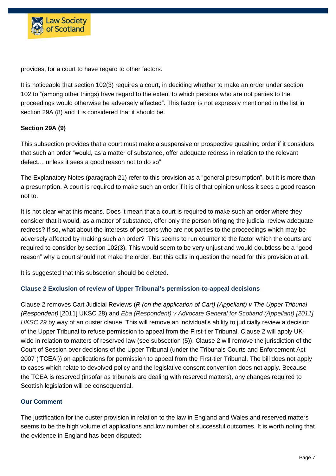

provides, for a court to have regard to other factors.

It is noticeable that section 102(3) requires a court, in deciding whether to make an order under section 102 to "(among other things) have regard to the extent to which persons who are not parties to the proceedings would otherwise be adversely affected". This factor is not expressly mentioned in the list in section 29A (8) and it is considered that it should be.

# **Section 29A (9)**

This subsection provides that a court must make a suspensive or prospective quashing order if it considers that such an order "would, as a matter of substance, offer adequate redress in relation to the relevant defect… unless it sees a good reason not to do so"

The Explanatory Notes (paragraph 21) refer to this provision as a "general presumption", but it is more than a presumption. A court is required to make such an order if it is of that opinion unless it sees a good reason not to.

It is not clear what this means. Does it mean that a court is required to make such an order where they consider that it would, as a matter of substance, offer only the person bringing the judicial review adequate redress? If so, what about the interests of persons who are not parties to the proceedings which may be adversely affected by making such an order? This seems to run counter to the factor which the courts are required to consider by section 102(3). This would seem to be very unjust and would doubtless be a "good reason" why a court should not make the order. But this calls in question the need for this provision at all.

It is suggested that this subsection should be deleted.

#### **Clause 2 Exclusion of review of Upper Tribunal's permission-to-appeal decisions**

Clause 2 removes Cart Judicial Reviews (*R (on the application of Cart) (Appellant) v The Upper Tribunal (Respondent)* [2011] UKSC 28) and *Eba (Respondent) v Advocate General for Scotland (Appellant) [2011] UKSC 29* by way of an ouster clause. This will remove an individual's ability to judicially review a decision of the Upper Tribunal to refuse permission to appeal from the First-tier Tribunal. Clause 2 will apply UKwide in relation to matters of reserved law (see subsection (5)). Clause 2 will remove the jurisdiction of the Court of Session over decisions of the Upper Tribunal (under the Tribunals Courts and Enforcement Act 2007 ('TCEA')) on applications for permission to appeal from the First-tier Tribunal. The bill does not apply to cases which relate to devolved policy and the legislative consent convention does not apply. Because the TCEA is reserved (insofar as tribunals are dealing with reserved matters), any changes required to Scottish legislation will be consequential.

#### **Our Comment**

The justification for the ouster provision in relation to the law in England and Wales and reserved matters seems to be the high volume of applications and low number of successful outcomes. It is worth noting that the evidence in England has been disputed: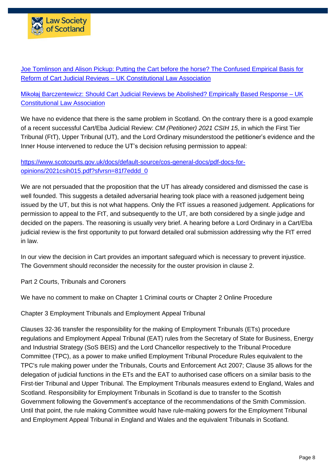

Joe [Tomlinson](https://ukconstitutionallaw.org/2021/03/29/joe-tomlinson-and-alison-pickup-putting-the-cart-before-the-horse-the-confused-empirical-basis-for-reform-of-cart-judicial-reviews/) and Alison Pickup: Putting the Cart before the horse? The Confused Empirical Basis for Reform of Cart Judicial Reviews – UK [Constitutional](https://ukconstitutionallaw.org/2021/03/29/joe-tomlinson-and-alison-pickup-putting-the-cart-before-the-horse-the-confused-empirical-basis-for-reform-of-cart-judicial-reviews/) Law Association

Mikołaj [Barczentewicz:](https://ukconstitutionallaw.org/2021/05/05/mikolaj-barczentewicz-should-cart-judicial-reviews-be-abolished-empirically-based-response/) Should Cart Judicial Reviews be Abolished? Empirically Based Response – UK [Constitutional](https://ukconstitutionallaw.org/2021/05/05/mikolaj-barczentewicz-should-cart-judicial-reviews-be-abolished-empirically-based-response/) Law Association

We have no evidence that there is the same problem in Scotland. On the contrary there is a good example of a recent successful Cart/Eba Judicial Review: *CM (Petitioner) 2021 CSIH 15*, in which the First Tier Tribunal (FtT), Upper Tribunal (UT), and the Lord Ordinary misunderstood the petitioner's evidence and the Inner House intervened to reduce the UT's decision refusing permission to appeal:

# [https://www.scotcourts.gov.uk/docs/default-source/cos-general-docs/pdf-docs-for](https://www.scotcourts.gov.uk/docs/default-source/cos-general-docs/pdf-docs-for-opinions/2021csih015.pdf?sfvrsn=81f7eddd_0)[opinions/2021csih015.pdf?sfvrsn=81f7eddd\\_0](https://www.scotcourts.gov.uk/docs/default-source/cos-general-docs/pdf-docs-for-opinions/2021csih015.pdf?sfvrsn=81f7eddd_0)

We are not persuaded that the proposition that the UT has already considered and dismissed the case is well founded. This suggests a detailed adversarial hearing took place with a reasoned judgement being issued by the UT, but this is not what happens. Only the FtT issues a reasoned judgement. Applications for permission to appeal to the FtT, and subsequently to the UT, are both considered by a single judge and decided on the papers. The reasoning is usually very brief. A hearing before a Lord Ordinary in a Cart/Eba judicial review is the first opportunity to put forward detailed oral submission addressing why the FtT erred in law.

In our view the decision in Cart provides an important safeguard which is necessary to prevent injustice. The Government should reconsider the necessity for the ouster provision in clause 2.

Part 2 Courts, Tribunals and Coroners

We have no comment to make on Chapter 1 Criminal courts or Chapter 2 Online Procedure

Chapter 3 Employment Tribunals and Employment Appeal Tribunal

Clauses 32-36 transfer the responsibility for the making of Employment Tribunals (ETs) procedure **r**egulations and Employment Appeal Tribunal (EAT) rules from the Secretary of State for Business, Energy and Industrial Strategy (SoS BEIS) and the Lord Chancellor respectively to the Tribunal Procedure Committee (TPC), as a power to make unified Employment Tribunal Procedure Rules equivalent to the TPC's rule making power under the Tribunals, Courts and Enforcement Act 2007; Clause 35 allows for the delegation of judicial functions in the ETs and the EAT to authorised case officers on a similar basis to the First-tier Tribunal and Upper Tribunal. The Employment Tribunals measures extend to England, Wales and Scotland. Responsibility for Employment Tribunals in Scotland is due to transfer to the Scottish Government following the Government's acceptance of the recommendations of the Smith Commission. Until that point, the rule making Committee would have rule-making powers for the Employment Tribunal and Employment Appeal Tribunal in England and Wales and the equivalent Tribunals in Scotland.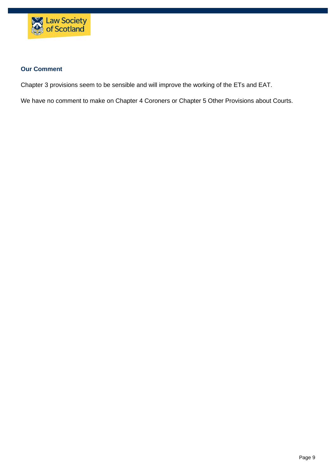

#### **Our Comment**

Chapter 3 provisions seem to be sensible and will improve the working of the ETs and EAT.

We have no comment to make on Chapter 4 Coroners or Chapter 5 Other Provisions about Courts.